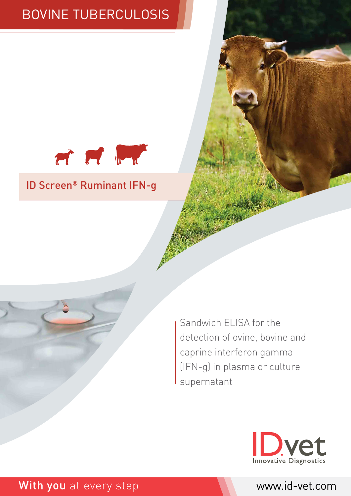# BOVINE TUBERCULOSIS



### ID Screen® Ruminant IFN-g

Sandwich ELISA for the detection of ovine, bovine and caprine interferon gamma (IFN-g) in plasma or culture supernatant



### With you at every step www.id-vet.com